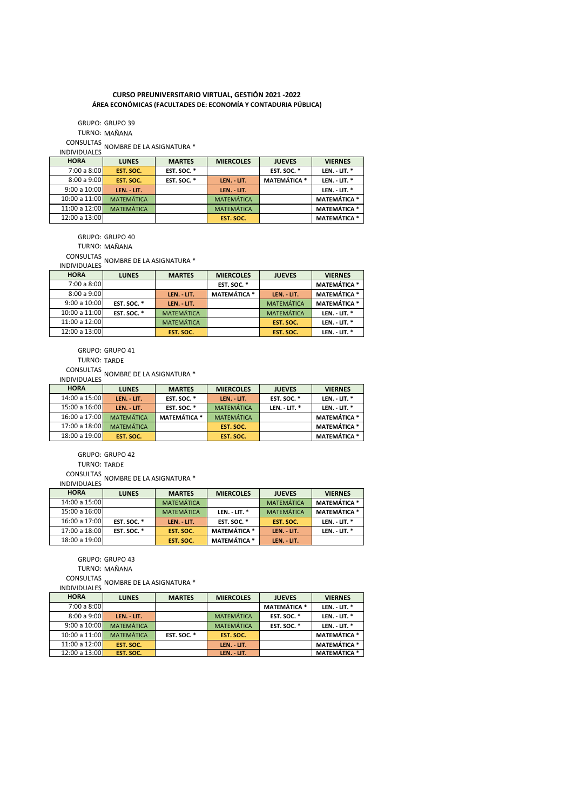## **CURSO PREUNIVERSITARIO VIRTUAL, GESTIÓN 2021 -2022 ÁREA ECONÓMICAS (FACULTADES DE: ECONOMÍA Y CONTADURIA PÚBLICA)**

TURNO: MAÑANA GRUPO: GRUPO 39 CONSULTAS INDIVIDUALES NOMBRE DE LA ASIGNATURA \*

| <b>HORA</b>   | <b>LUNES</b>      | <b>MARTES</b> | <b>MIERCOLES</b>  | <b>JUEVES</b>       | <b>VIERNES</b>      |
|---------------|-------------------|---------------|-------------------|---------------------|---------------------|
| 7:00 a 8:00   | EST. SOC.         | EST. SOC. *   |                   | EST. SOC. *         | LEN. - LIT. *       |
| 8:00a9:00     | EST. SOC.         | EST. SOC. *   | LEN. - LIT.       | <b>MATEMÁTICA *</b> | LEN. - LIT. *       |
| 9:00a10:00    | LEN. - LIT.       |               | LEN. - LIT.       |                     | LEN. - LIT. *       |
| 10:00a 11:00  | <b>MATEMÁTICA</b> |               | <b>MATEMÁTICA</b> |                     | <b>MATEMÁTICA *</b> |
| 11:00 a 12:00 | <b>MATEMÁTICA</b> |               | <b>MATEMÁTICA</b> |                     | <b>MATEMÁTICA *</b> |
| 12:00 a 13:00 |                   |               | EST. SOC.         |                     | <b>MATEMÁTICA *</b> |

GRUPO: GRUPO 40

TURNO: MAÑANA

CONSULTAS

INDIVIDUALES NOMBRE DE LA ASIGNATURA \*

| <b>HORA</b>   | <b>LUNES</b> | <b>MARTES</b>     | <b>MIERCOLES</b>    | <b>JUEVES</b>     | <b>VIERNES</b>      |
|---------------|--------------|-------------------|---------------------|-------------------|---------------------|
| 7:00 a 8:00   |              |                   | EST. SOC. *         |                   | <b>MATEMÁTICA *</b> |
| 8:00a9:00     |              | LEN. - LIT.       | <b>MATEMÁTICA *</b> | LEN. - LIT.       | <b>MATEMÁTICA *</b> |
| 9:00a10:00    | EST. SOC. *  | LEN. - LIT.       |                     | <b>MATEMÁTICA</b> | <b>MATEMÁTICA *</b> |
| 10:00 a 11:00 | EST. SOC. *  | <b>MATEMÁTICA</b> |                     | <b>MATEMÁTICA</b> | LEN. - LIT. $*$     |
| 11:00 a 12:00 |              | <b>MATEMÁTICA</b> |                     | EST. SOC.         | LEN. - LIT. $*$     |
| 12:00 a 13:00 |              | EST. SOC.         |                     | EST. SOC.         | LEN. - LIT. *       |

GRUPO: GRUPO 41

TURNO: TARDE

CONSULTAS INDIVIDUALES NOMBRE DE LA ASIGNATURA \*

| <b>HORA</b>   | <b>LUNES</b>      | <b>MARTES</b>       | <b>MIERCOLES</b>  | <b>JUEVES</b>   | <b>VIERNES</b>      |
|---------------|-------------------|---------------------|-------------------|-----------------|---------------------|
| 14:00 a 15:00 | LEN. - LIT.       | EST. SOC. *         | LEN. - LIT.       | EST. SOC. *     | LEN. - LIT. $*$     |
| 15:00 a 16:00 | LEN. - LIT.       | <b>EST. SOC. *</b>  | <b>MATEMÁTICA</b> | LEN. - LIT. $*$ | LEN. - LIT. $*$     |
| 16:00 a 17:00 | <b>MATEMÁTICA</b> | <b>MATEMÁTICA *</b> | <b>MATEMÁTICA</b> |                 | <b>MATEMÁTICA *</b> |
| 17:00 a 18:00 | <b>MATEMÁTICA</b> |                     | EST. SOC.         |                 | <b>MATEMÁTICA *</b> |
| 18:00 a 19:00 | EST. SOC.         |                     | EST. SOC.         |                 | <b>MATEMÁTICA *</b> |

GRUPO: GRUPO 42

TURNO: TARDE

CONSULTAS INDIVIDUALES NOMBRE DE LA ASIGNATURA \*

| <b>HORA</b>   | <b>LUNES</b> | <b>MARTES</b>     | <b>MIERCOLES</b>    | <b>JUEVES</b>     | <b>VIERNES</b>      |
|---------------|--------------|-------------------|---------------------|-------------------|---------------------|
| 14:00 a 15:00 |              | <b>MATEMÁTICA</b> |                     | <b>MATEMÁTICA</b> | <b>MATEMÁTICA *</b> |
| 15:00 a 16:00 |              | <b>MATEMÁTICA</b> | LEN. - LIT. $*$     | <b>MATEMÁTICA</b> | <b>MATEMÁTICA *</b> |
| 16:00 a 17:00 | EST. SOC. *  | LEN. - LIT.       | <b>EST. SOC. *</b>  | EST. SOC.         | $LEN. - LIT. *$     |
| 17:00 a 18:00 | EST. SOC. *  | EST. SOC.         | <b>MATEMÁTICA *</b> | LEN. - LIT.       | LEN. - LIT. $*$     |
| 18:00 a 19:00 |              | EST. SOC.         | <b>MATEMÁTICA *</b> | LEN. - LIT.       |                     |

GRUPO: GRUPO 43

TURNO: MAÑANA

CONSULTAS INDIVIDUALES NOMBRE DE LA ASIGNATURA \*

| <b>HORA</b>   | <b>LUNES</b>      | <b>MARTES</b> | <b>MIERCOLES</b>  | <b>JUEVES</b>       | <b>VIERNES</b>      |
|---------------|-------------------|---------------|-------------------|---------------------|---------------------|
| 7:00 a 8:00   |                   |               |                   | <b>MATEMÁTICA *</b> | LEN. - LIT. $*$     |
| 8:00a9:00     | LEN. - LIT.       |               | <b>MATEMÁTICA</b> | EST. SOC. *         | LEN. - LIT. $*$     |
| 9:00a10:00    | <b>MATEMÁTICA</b> |               | <b>MATEMÁTICA</b> | EST. SOC. *         | LEN. - LIT. $*$     |
| 10:00 a 11:00 | <b>MATEMÁTICA</b> | EST. SOC. *   | EST. SOC.         |                     | <b>MATEMÁTICA *</b> |
| 11:00 a 12:00 | EST. SOC.         |               | LEN. - LIT.       |                     | <b>MATEMÁTICA *</b> |
| 12:00 a 13:00 | EST. SOC.         |               | LEN. - LIT.       |                     | <b>MATEMÁTICA *</b> |